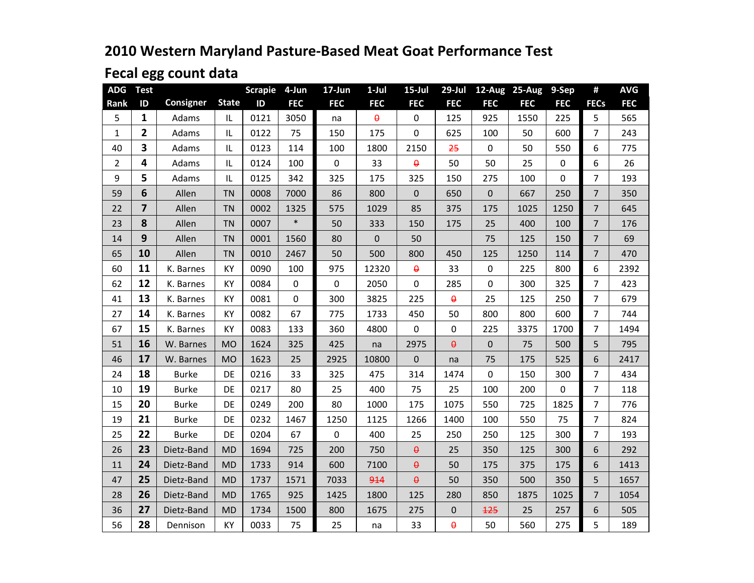# **2010 Western Maryland Pasture-Based Meat Goat Performance Test**

# **Fecal egg count data**

| <b>ADG</b>     | <b>Test</b>             |              |              | <b>Scrapie</b> | 4-Jun       | 17-Jun      | $1-Jul$    | $15$ -Jul      | $29$ -Jul      | 12-Aug      | 25-Aug     | 9-Sep       | #              | <b>AVG</b> |
|----------------|-------------------------|--------------|--------------|----------------|-------------|-------------|------------|----------------|----------------|-------------|------------|-------------|----------------|------------|
| Rank           | ID                      | Consigner    | <b>State</b> | ID             | <b>FEC</b>  | <b>FEC</b>  | <b>FEC</b> | <b>FEC</b>     | <b>FEC</b>     | <b>FEC</b>  | <b>FEC</b> | <b>FEC</b>  | <b>FECs</b>    | <b>FEC</b> |
| 5              | $\mathbf{1}$            | Adams        | IL           | 0121           | 3050        | na          | $\theta$   | 0              | 125            | 925         | 1550       | 225         | 5              | 565        |
| $\mathbf{1}$   | $\overline{2}$          | Adams        | IL           | 0122           | 75          | 150         | 175        | 0              | 625            | 100         | 50         | 600         | 7              | 243        |
| 40             | $\overline{\mathbf{3}}$ | Adams        | IL           | 0123           | 114         | 100         | 1800       | 2150           | 25             | $\mathbf 0$ | 50         | 550         | 6              | 775        |
| $\overline{2}$ | 4                       | Adams        | IL           | 0124           | 100         | $\mathbf 0$ | 33         | $\pmb{\theta}$ | 50             | 50          | 25         | 0           | 6              | 26         |
| 9              | 5                       | Adams        | IL           | 0125           | 342         | 325         | 175        | 325            | 150            | 275         | 100        | $\mathbf 0$ | $\overline{7}$ | 193        |
| 59             | 6                       | Allen        | <b>TN</b>    | 0008           | 7000        | 86          | 800        | 0              | 650            | $\pmb{0}$   | 667        | 250         | $\overline{7}$ | 350        |
| 22             | $\overline{7}$          | Allen        | <b>TN</b>    | 0002           | 1325        | 575         | 1029       | 85             | 375            | 175         | 1025       | 1250        | $\overline{7}$ | 645        |
| 23             | 8                       | Allen        | <b>TN</b>    | 0007           | $\ast$      | 50          | 333        | 150            | 175            | 25          | 400        | 100         | 7              | 176        |
| 14             | 9                       | Allen        | <b>TN</b>    | 0001           | 1560        | 80          | 0          | 50             |                | 75          | 125        | 150         | $\overline{7}$ | 69         |
| 65             | 10                      | Allen        | <b>TN</b>    | 0010           | 2467        | 50          | 500        | 800            | 450            | 125         | 1250       | 114         | $\overline{7}$ | 470        |
| 60             | 11                      | K. Barnes    | KY           | 0090           | 100         | 975         | 12320      | $\theta$       | 33             | $\mathbf 0$ | 225        | 800         | 6              | 2392       |
| 62             | 12                      | K. Barnes    | KY           | 0084           | $\mathbf 0$ | 0           | 2050       | 0              | 285            | $\mathbf 0$ | 300        | 325         | 7              | 423        |
| 41             | 13                      | K. Barnes    | KY           | 0081           | $\mathbf 0$ | 300         | 3825       | 225            | $\pmb{\Theta}$ | 25          | 125        | 250         | $\overline{7}$ | 679        |
| 27             | 14                      | K. Barnes    | KY           | 0082           | 67          | 775         | 1733       | 450            | 50             | 800         | 800        | 600         | 7              | 744        |
| 67             | 15                      | K. Barnes    | KY           | 0083           | 133         | 360         | 4800       | 0              | $\pmb{0}$      | 225         | 3375       | 1700        | 7              | 1494       |
| 51             | 16                      | W. Barnes    | <b>MO</b>    | 1624           | 325         | 425         | na         | 2975           | $\pmb{\Theta}$ | $\mathbf 0$ | 75         | 500         | 5              | 795        |
| 46             | 17                      | W. Barnes    | <b>MO</b>    | 1623           | 25          | 2925        | 10800      | $\overline{0}$ | na             | 75          | 175        | 525         | 6              | 2417       |
| 24             | 18                      | <b>Burke</b> | DE           | 0216           | 33          | 325         | 475        | 314            | 1474           | $\mathbf 0$ | 150        | 300         | 7              | 434        |
| 10             | 19                      | <b>Burke</b> | DE           | 0217           | 80          | 25          | 400        | 75             | 25             | 100         | 200        | $\mathbf 0$ | $\overline{7}$ | 118        |
| 15             | 20                      | <b>Burke</b> | DE           | 0249           | 200         | 80          | 1000       | 175            | 1075           | 550         | 725        | 1825        | 7              | 776        |
| 19             | 21                      | <b>Burke</b> | DE           | 0232           | 1467        | 1250        | 1125       | 1266           | 1400           | 100         | 550        | 75          | 7              | 824        |
| 25             | 22                      | <b>Burke</b> | DE           | 0204           | 67          | 0           | 400        | 25             | 250            | 250         | 125        | 300         | 7              | 193        |
| 26             | 23                      | Dietz-Band   | <b>MD</b>    | 1694           | 725         | 200         | 750        | $\pmb{\Theta}$ | 25             | 350         | 125        | 300         | 6              | 292        |
| 11             | 24                      | Dietz-Band   | <b>MD</b>    | 1733           | 914         | 600         | 7100       | $\pmb{\Theta}$ | 50             | 175         | 375        | 175         | 6              | 1413       |
| 47             | 25                      | Dietz-Band   | <b>MD</b>    | 1737           | 1571        | 7033        | 914        | $\pmb{\Theta}$ | 50             | 350         | 500        | 350         | 5              | 1657       |
| 28             | 26                      | Dietz-Band   | <b>MD</b>    | 1765           | 925         | 1425        | 1800       | 125            | 280            | 850         | 1875       | 1025        | $\overline{7}$ | 1054       |
| 36             | 27                      | Dietz-Band   | <b>MD</b>    | 1734           | 1500        | 800         | 1675       | 275            | $\pmb{0}$      | 125         | 25         | 257         | 6              | 505        |
| 56             | 28                      | Dennison     | KY           | 0033           | 75          | 25          | na         | 33             | $\pmb{\theta}$ | 50          | 560        | 275         | 5              | 189        |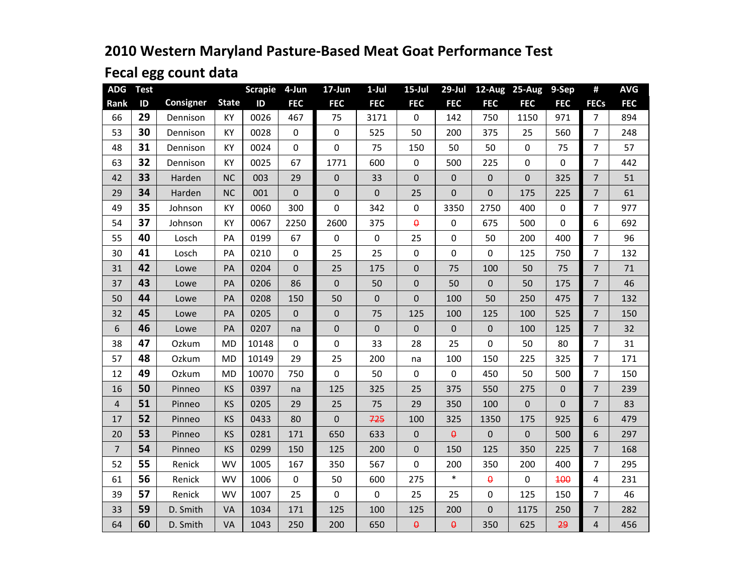# **2010 Western Maryland Pasture-Based Meat Goat Performance Test**

# **Fecal egg count data**

| <b>ADG</b>     | <b>Test</b> |                  |              | <b>Scrapie</b> | 4-Jun            | 17-Jun     | $1-Jul$          | $15$ -Jul      | $29$ -Jul        |                | 12-Aug 25-Aug  | 9-Sep        | #              | <b>AVG</b> |
|----------------|-------------|------------------|--------------|----------------|------------------|------------|------------------|----------------|------------------|----------------|----------------|--------------|----------------|------------|
| Rank           | ID          | <b>Consigner</b> | <b>State</b> | ID             | <b>FEC</b>       | <b>FEC</b> | <b>FEC</b>       | <b>FEC</b>     | <b>FEC</b>       | <b>FEC</b>     | <b>FEC</b>     | <b>FEC</b>   | <b>FECs</b>    | <b>FEC</b> |
| 66             | 29          | Dennison         | KY           | 0026           | 467              | 75         | 3171             | $\mathbf 0$    | 142              | 750            | 1150           | 971          | $\overline{7}$ | 894        |
| 53             | 30          | Dennison         | KY           | 0028           | 0                | $\pmb{0}$  | 525              | 50             | 200              | 375            | 25             | 560          | 7              | 248        |
| 48             | 31          | Dennison         | KY           | 0024           | 0                | $\pmb{0}$  | 75               | 150            | 50               | 50             | 0              | 75           | $\overline{7}$ | 57         |
| 63             | 32          | Dennison         | KY           | 0025           | 67               | 1771       | 600              | $\pmb{0}$      | 500              | 225            | 0              | $\mathbf 0$  | $\overline{7}$ | 442        |
| 42             | 33          | Harden           | <b>NC</b>    | 003            | 29               | $\pmb{0}$  | 33               | $\mathbf 0$    | $\mathbf 0$      | $\mathbf 0$    | $\overline{0}$ | 325          | $\overline{7}$ | 51         |
| 29             | 34          | Harden           | <b>NC</b>    | 001            | $\boldsymbol{0}$ | $\pmb{0}$  | $\boldsymbol{0}$ | 25             | $\pmb{0}$        | $\pmb{0}$      | 175            | 225          | $\overline{7}$ | 61         |
| 49             | 35          | Johnson          | KY           | 0060           | 300              | $\pmb{0}$  | 342              | $\pmb{0}$      | 3350             | 2750           | 400            | $\mathbf 0$  | $\overline{7}$ | 977        |
| 54             | 37          | Johnson          | KY           | 0067           | 2250             | 2600       | 375              | $\pmb{\theta}$ | $\boldsymbol{0}$ | 675            | 500            | 0            | 6              | 692        |
| 55             | 40          | Losch            | PA           | 0199           | 67               | $\pmb{0}$  | $\mathbf 0$      | 25             | $\mathbf 0$      | 50             | 200            | 400          | $\overline{7}$ | 96         |
| 30             | 41          | Losch            | PA           | 0210           | 0                | 25         | 25               | $\mathbf 0$    | $\mathbf 0$      | $\mathbf 0$    | 125            | 750          | $\overline{7}$ | 132        |
| 31             | 42          | Lowe             | PA           | 0204           | 0                | 25         | 175              | 0              | 75               | 100            | 50             | 75           | $\overline{7}$ | 71         |
| 37             | 43          | Lowe             | PA           | 0206           | 86               | $\pmb{0}$  | 50               | 0              | 50               | $\mathbf{0}$   | 50             | 175          | $\overline{7}$ | 46         |
| 50             | 44          | Lowe             | PA           | 0208           | 150              | 50         | $\mathbf{0}$     | $\mathbf 0$    | 100              | 50             | 250            | 475          | $\overline{7}$ | 132        |
| 32             | 45          | Lowe             | PA           | 0205           | $\overline{0}$   | $\pmb{0}$  | 75               | 125            | 100              | 125            | 100            | 525          | $\overline{7}$ | 150        |
| 6              | 46          | Lowe             | PA           | 0207           | na               | $\pmb{0}$  | $\boldsymbol{0}$ | $\pmb{0}$      | $\pmb{0}$        | $\mathbf 0$    | 100            | 125          | $\overline{7}$ | 32         |
| 38             | 47          | Ozkum            | <b>MD</b>    | 10148          | 0                | $\pmb{0}$  | 33               | 28             | 25               | $\mathbf 0$    | 50             | 80           | 7              | 31         |
| 57             | 48          | Ozkum            | <b>MD</b>    | 10149          | 29               | 25         | 200              | na             | 100              | 150            | 225            | 325          | $\overline{7}$ | 171        |
| 12             | 49          | Ozkum            | <b>MD</b>    | 10070          | 750              | 0          | 50               | $\mathbf 0$    | 0                | 450            | 50             | 500          | $\overline{7}$ | 150        |
| 16             | 50          | Pinneo           | KS           | 0397           | na               | 125        | 325              | 25             | 375              | 550            | 275            | $\mathbf 0$  | $\overline{7}$ | 239        |
| 4              | 51          | Pinneo           | <b>KS</b>    | 0205           | 29               | 25         | 75               | 29             | 350              | 100            | 0              | $\mathbf{0}$ | $\overline{7}$ | 83         |
| 17             | 52          | Pinneo           | <b>KS</b>    | 0433           | 80               | $\pmb{0}$  | 725              | 100            | 325              | 1350           | 175            | 925          | 6              | 479        |
| 20             | 53          | Pinneo           | <b>KS</b>    | 0281           | 171              | 650        | 633              | $\pmb{0}$      | θ                | $\mathbf 0$    | 0              | 500          | 6              | 297        |
| $\overline{7}$ | 54          | Pinneo           | <b>KS</b>    | 0299           | 150              | 125        | 200              | $\mathbf 0$    | 150              | 125            | 350            | 225          | $\overline{7}$ | 168        |
| 52             | 55          | Renick           | WV           | 1005           | 167              | 350        | 567              | 0              | 200              | 350            | 200            | 400          | 7              | 295        |
| 61             | 56          | Renick           | <b>WV</b>    | 1006           | $\mathbf 0$      | 50         | 600              | 275            | $\ast$           | $\theta$       | $\mathbf 0$    | 100          | 4              | 231        |
| 39             | 57          | Renick           | <b>WV</b>    | 1007           | 25               | $\pmb{0}$  | $\mathbf 0$      | 25             | 25               | $\mathbf 0$    | 125            | 150          | $\overline{7}$ | 46         |
| 33             | 59          | D. Smith         | VA           | 1034           | 171              | 125        | 100              | 125            | 200              | $\overline{0}$ | 1175           | 250          | $\overline{7}$ | 282        |
| 64             | 60          | D. Smith         | VA           | 1043           | 250              | 200        | 650              | $\pmb{\theta}$ | $\pmb{\Theta}$   | 350            | 625            | 29           | 4              | 456        |